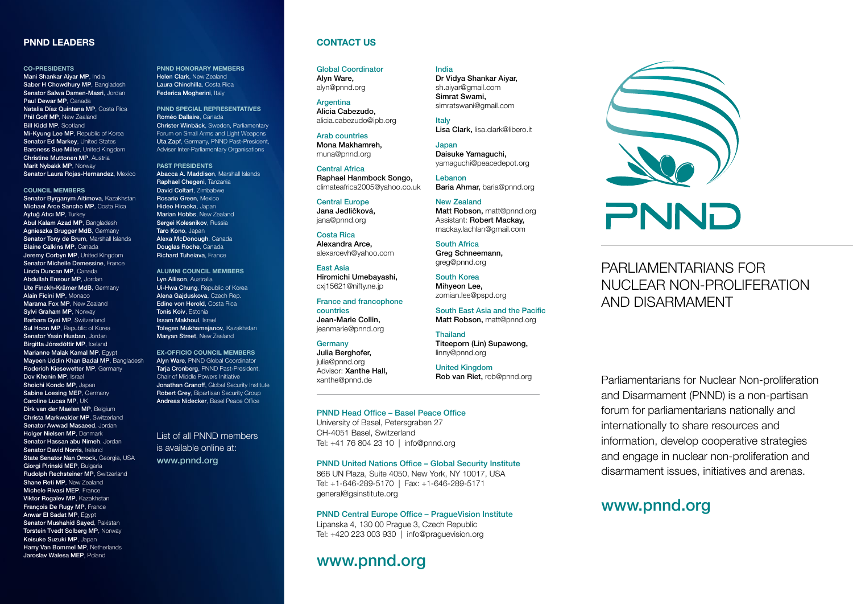## PNND LEADERS

#### CO-PRESIDENTS

Mani Shankar Aiyar MP, India Saber H Chowdhury MP, Bangladesh Senator Salwa Damen-Masri, Jordan Paul Dewar MP, Canada Natalia Díaz Quintana MP, Costa Rica Phil Goff MP, New Zealand Bill Kidd MP, Scotland Mi-Kyung Lee MP, Republic of Korea Senator Ed Markey, United States Baroness Sue Miller, United Kingdom Christine Muttonen MP, Austria Marit Nybakk MP, Norway Senator Laura Rojas-Hernandez, Mexico

#### COUNCIL MEMBERS

Senator Byrganym Aitimova, Kazakhstan Michael Arce Sancho MP, Costa Rica Aytuğ Atıcı MP, Turkey Abul Kalam Azad MP, Bangladesh Agnieszka Brugger MdB, Germany Senator Tony de Brum, Marshall Islands Blaine Calkins MP, Canada Jeremy Corbyn MP, United Kingdom Senator Michelle Demessine, France Linda Duncan MP, Canada Abdullah Ensour MP, Jordan Ute Finckh-Krämer MdB, Germany Alain Ficini MP, Monaco Marama Fox MP, New Zealand Sylvi Graham MP, Norway Barbara Gysi MP, Switzerland Sul Hoon MP, Republic of Korea Senator Yasin Husban, Jordan Birgitta Jónsdóttir MP, Iceland Marianne Malak Kamal MP, Egypt Mayeen Uddin Khan Badal MP, Bangladesh Roderich Kiesewetter MP, Germany Dov Khenin MP, Israel Shoichi Kondo MP, Japan Sabine Loesing MEP, Germany Caroline Lucas MP, UK Dirk van der Maelen MP, Belgium Christa Markwalder MP, Switzerland Senator Awwad Masaeed, Jordan Holger Nielsen MP, Denmark Senator Hassan abu Nimeh, Jordan Senator David Norris, Ireland State Senator Nan Orrock, Georgia, USA Giorgi Pirinski MEP, Bulgaria Rudolph Rechsteiner MP, Switzerland Shane Reti MP, New Zealand Michele Rivasi MEP, France Viktor Rogalev MP, Kazakhstan François De Rugy MP, France Anwar El Sadat MP, Egypt Senator Mushahid Sayed, Pakistan Torstein Tvedt Solberg MP, Norway Keisuke Suzuki MP, Japan Harry Van Bommel MP, Netherlands Jaroslav Walesa MEP, Poland

PNND HONORARY MEMBERS Helen Clark, New Zealand Laura Chinchilla, Costa Rica Federica Mogherini, Italy

PNND SPECIAL REPRESENTATIVES Roméo Dallaire, Canada Christer Winbäck, Sweden, Parliamentary Forum on Small Arms and Light Weapons Uta Zapf, Germany, PNND Past-President, Adviser Inter-Parliamentary Organisations

PAST PRESIDENTS Abacca A. Maddison, Marshall Islands Raphael Chegeni, Tanzania David Coltart, Zimbabwe Rosario Green, Mexico Hideo Hiraoka, Japan Marian Hobbs, New Zealand Sergei Kolesnikov, Russia Taro Kono, Japan Alexa McDonough, Canada Douglas Roche, Canada Richard Tuheiava, France

ALUMNI COUNCIL MEMBERS Lyn Allison, Australia Ui-Hwa Chung, Republic of Korea Alena Gajduskova, Czech Rep. Edine von Herold, Costa Rica Tonis Koiv, Estonia Issam Makhoul, Israel Tolegen Mukhamejanov, Kazakhstan Maryan Street, New Zealand

EX-OFFICIO COUNCIL MEMBERS Alyn Ware, PNND Global Coordinator Taria Cronberg, PNND Past-President, Chair of Middle Powers Initiative Jonathan Granoff, Global Security Institute Robert Grey, Bipartisan Security Group Andreas Nidecker, Basel Peace Office

## List of all PNND members is available online at: www.pnnd.org

## CONTACT US

Global Coordinator Alyn Ware, alyn@pnnd.org

**Argentina** Alicia Cabezudo, alicia.cabezudo@ipb.org

Arab countries Mona Makhamreh, muna@pnnd.org

Central Africa Raphael Hanmbock Songo, climateafrica2005@yahoo.co.uk

Central Europe Jana Jedličková, jana@pnnd.org

Costa Rica Alexandra Arce, alexarcevh@yahoo.com

East Asia Hiromichi Umebayashi, cxj15621@nifty.ne.jp

France and francophone countries Jean-Marie Collin, jeanmarie@pnnd.org

Germany Julia Berghofer, julia@pnnd.org Advisor: Xanthe Hall,

xanthe@pnnd.de

PNND Head Office – Basel Peace Office

University of Basel, Petersgraben 27 CH-4051 Basel, Switzerland Tel: +41 76 804 23 10 | info@pnnd.org

### PNND United Nations Office – Global Security Institute

866 UN Plaza, Suite 4050, New York, NY 10017, USA Tel: +1-646-289-5170 | Fax: +1-646-289-5171 general@gsinstitute.org

### PNND Central Europe Office – PragueVision Institute

Lipanska 4, 130 00 Prague 3, Czech Republic Tel: +420 223 003 930 | info@praguevision.org

# www.pnnd.org

### India

Dr Vidya Shankar Aiyar, sh.aiyar@gmail.com Simrat Swami, simratswani@gmail.com

Italy Lisa Clark, lisa.clark@libero.it

Japan Daisuke Yamaguchi, yamaguchi@peacedepot.org

Lebanon Baria Ahmar, baria@pnnd.org

New Zealand Matt Robson, matt@pnnd.org Assistant: Robert Mackay, mackay.lachlan@gmail.com

South Africa Greg Schneemann, greg@pnnd.org

South Korea Mihyeon Lee, zomian.lee@pspd.org

South East Asia and the Pacific Matt Robson, matt@pnnd.org

Thailand Titeeporn (Lin) Supawong, linny@pnnd.org

United Kingdom Rob van Riet, rob@pnnd.org NUCLEAR NON-PROLIFERATION AND DISARMAMENT

> Parliamentarians for Nuclear Non-proliferation and Disarmament (PNND) is a non-partisan forum for parliamentarians nationally and internationally to share resources and information, develop cooperative strategies and engage in nuclear non-proliferation and disarmament issues, initiatives and arenas.

# www.pnnd.org

PNND

PARLIAMENTARIANS FOR